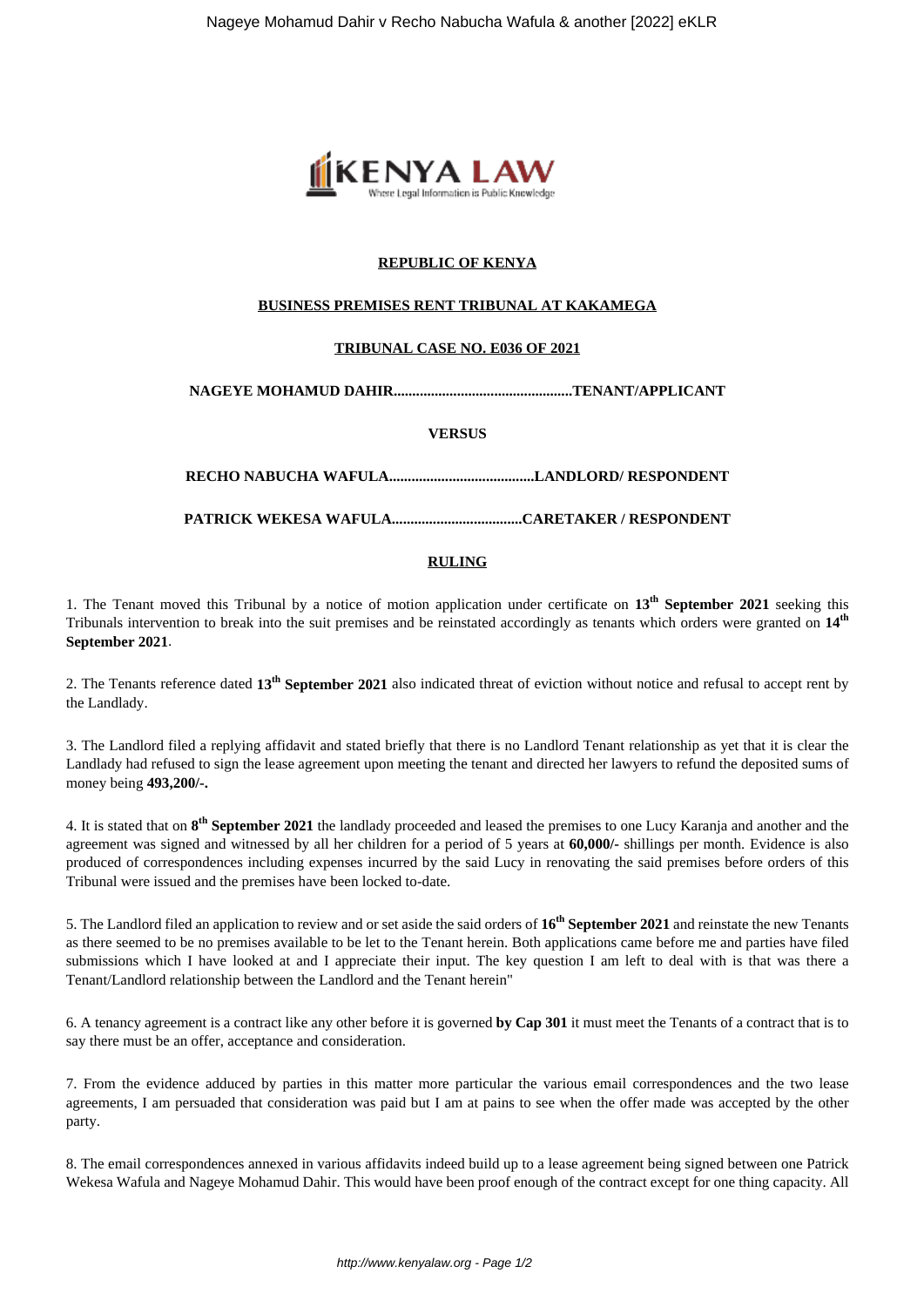

# **REPUBLIC OF KENYA**

## **BUSINESS PREMISES RENT TRIBUNAL AT KAKAMEGA**

### **TRIBUNAL CASE NO. E036 OF 2021**

**NAGEYE MOHAMUD DAHIR................................................TENANT/APPLICANT**

#### **VERSUS**

**RECHO NABUCHA WAFULA.......................................LANDLORD/ RESPONDENT**

**PATRICK WEKESA WAFULA...................................CARETAKER / RESPONDENT**

## **RULING**

1. The Tenant moved this Tribunal by a notice of motion application under certificate on **13th September 2021** seeking this Tribunals intervention to break into the suit premises and be reinstated accordingly as tenants which orders were granted on **14th September 2021**.

2. The Tenants reference dated **13th September 2021** also indicated threat of eviction without notice and refusal to accept rent by the Landlady.

3. The Landlord filed a replying affidavit and stated briefly that there is no Landlord Tenant relationship as yet that it is clear the Landlady had refused to sign the lease agreement upon meeting the tenant and directed her lawyers to refund the deposited sums of money being **493,200/-.**

4. It is stated that on **8 th September 2021** the landlady proceeded and leased the premises to one Lucy Karanja and another and the agreement was signed and witnessed by all her children for a period of 5 years at **60,000/-** shillings per month. Evidence is also produced of correspondences including expenses incurred by the said Lucy in renovating the said premises before orders of this Tribunal were issued and the premises have been locked to-date.

5. The Landlord filed an application to review and or set aside the said orders of **16th September 2021** and reinstate the new Tenants as there seemed to be no premises available to be let to the Tenant herein. Both applications came before me and parties have filed submissions which I have looked at and I appreciate their input. The key question I am left to deal with is that was there a Tenant/Landlord relationship between the Landlord and the Tenant herein"

6. A tenancy agreement is a contract like any other before it is governed **by Cap 301** it must meet the Tenants of a contract that is to say there must be an offer, acceptance and consideration.

7. From the evidence adduced by parties in this matter more particular the various email correspondences and the two lease agreements, I am persuaded that consideration was paid but I am at pains to see when the offer made was accepted by the other party.

8. The email correspondences annexed in various affidavits indeed build up to a lease agreement being signed between one Patrick Wekesa Wafula and Nageye Mohamud Dahir. This would have been proof enough of the contract except for one thing capacity. All